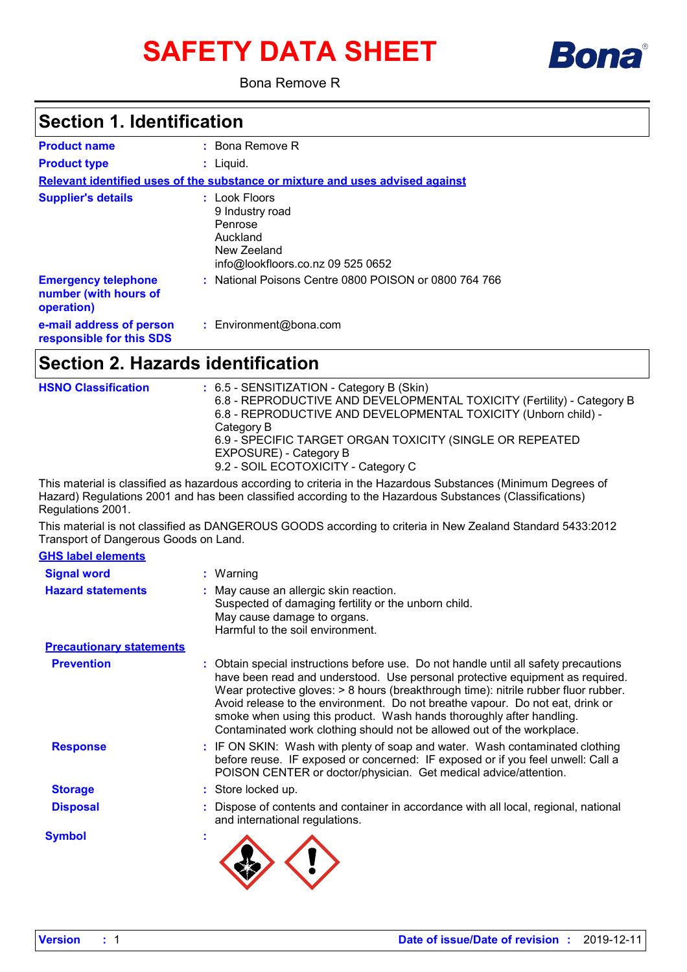# **SAFETY DATA SHEET**



Bona Remove R

### **Section 1. Identification**

| <b>Product name</b>                                               | $:$ Bona Remove R                                                                                           |
|-------------------------------------------------------------------|-------------------------------------------------------------------------------------------------------------|
| <b>Product type</b>                                               | : Liguid.                                                                                                   |
|                                                                   | Relevant identified uses of the substance or mixture and uses advised against                               |
| <b>Supplier's details</b>                                         | : Look Floors<br>9 Industry road<br>Penrose<br>Auckland<br>New Zeeland<br>info@lookfloors.co.nz 09 525 0652 |
| <b>Emergency telephone</b><br>number (with hours of<br>operation) | : National Poisons Centre 0800 POISON or 0800 764 766                                                       |
| e-mail address of person<br>responsible for this SDS              | $:$ Environment@bona.com                                                                                    |

### **Section 2. Hazards identification**

| <b>HSNO Classification</b> | : 6.5 - SENSITIZATION - Category B (Skin)<br>6.8 - REPRODUCTIVE AND DEVELOPMENTAL TOXICITY (Fertility) - Category B<br>6.8 - REPRODUCTIVE AND DEVELOPMENTAL TOXICITY (Unborn child) -<br>Category B<br>6.9 - SPECIFIC TARGET ORGAN TOXICITY (SINGLE OR REPEATED<br>EXPOSURE) - Category B<br>9.2 - SOIL ECOTOXICITY - Category C |
|----------------------------|----------------------------------------------------------------------------------------------------------------------------------------------------------------------------------------------------------------------------------------------------------------------------------------------------------------------------------|
|                            |                                                                                                                                                                                                                                                                                                                                  |

This material is classified as hazardous according to criteria in the Hazardous Substances (Minimum Degrees of Hazard) Regulations 2001 and has been classified according to the Hazardous Substances (Classifications) Regulations 2001.

This material is not classified as DANGEROUS GOODS according to criteria in New Zealand Standard 5433:2012 Transport of Dangerous Goods on Land.

| <b>GHS label elements</b>       |   |                                                                                                                                                                                                                                                                                                                                                                                                                                                                                               |
|---------------------------------|---|-----------------------------------------------------------------------------------------------------------------------------------------------------------------------------------------------------------------------------------------------------------------------------------------------------------------------------------------------------------------------------------------------------------------------------------------------------------------------------------------------|
| <b>Signal word</b>              |   | : Warning                                                                                                                                                                                                                                                                                                                                                                                                                                                                                     |
| <b>Hazard statements</b>        |   | May cause an allergic skin reaction.<br>Suspected of damaging fertility or the unborn child.<br>May cause damage to organs.<br>Harmful to the soil environment.                                                                                                                                                                                                                                                                                                                               |
| <b>Precautionary statements</b> |   |                                                                                                                                                                                                                                                                                                                                                                                                                                                                                               |
| <b>Prevention</b>               |   | Obtain special instructions before use. Do not handle until all safety precautions<br>have been read and understood. Use personal protective equipment as required.<br>Wear protective gloves: > 8 hours (breakthrough time): nitrile rubber fluor rubber.<br>Avoid release to the environment. Do not breathe vapour. Do not eat, drink or<br>smoke when using this product. Wash hands thoroughly after handling.<br>Contaminated work clothing should not be allowed out of the workplace. |
| <b>Response</b>                 |   | : IF ON SKIN: Wash with plenty of soap and water. Wash contaminated clothing<br>before reuse. IF exposed or concerned: IF exposed or if you feel unwell: Call a<br>POISON CENTER or doctor/physician. Get medical advice/attention.                                                                                                                                                                                                                                                           |
| <b>Storage</b>                  |   | : Store locked up.                                                                                                                                                                                                                                                                                                                                                                                                                                                                            |
| <b>Disposal</b>                 |   | Dispose of contents and container in accordance with all local, regional, national<br>and international regulations.                                                                                                                                                                                                                                                                                                                                                                          |
| <b>Symbol</b>                   | × |                                                                                                                                                                                                                                                                                                                                                                                                                                                                                               |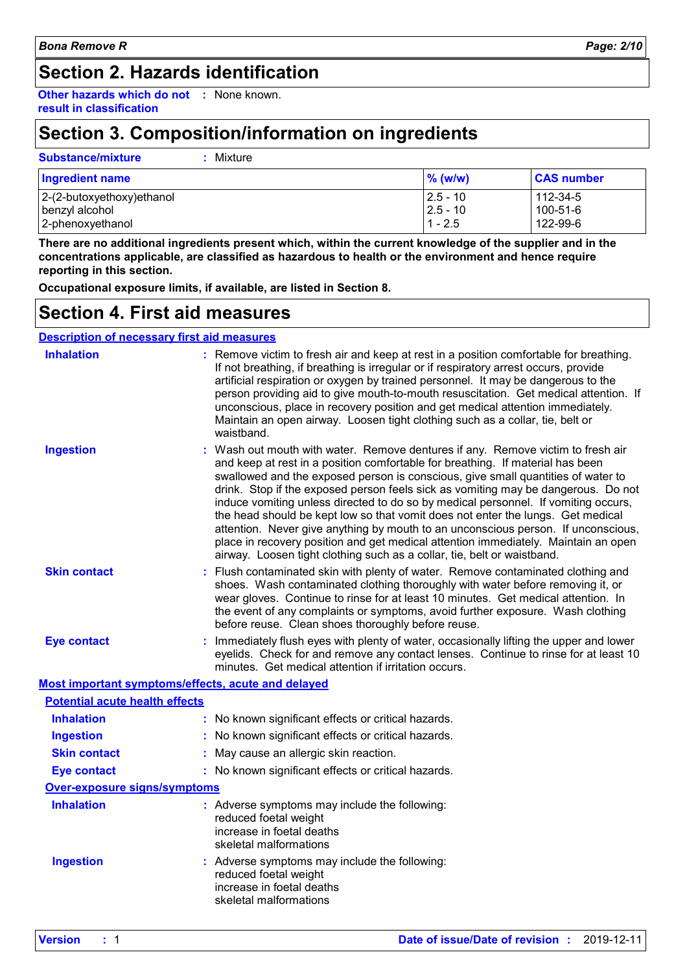### **Section 2. Hazards identification**

**Other hazards which do not :** None known. **result in classification**

### **Section 3. Composition/information on ingredients**

| Substance/mixture | : Mixture |
|-------------------|-----------|
|                   |           |

| <b>Ingredient name</b>       | $\%$ (w/w)  | <b>CAS number</b> |
|------------------------------|-------------|-------------------|
| $ 2-(2-butoxyethoxy)ethanol$ | $12.5 - 10$ | 112-34-5          |
| benzyl alcohol               | $12.5 - 10$ | 100-51-6          |
| 2-phenoxyethanol             | $1 - 2.5$   | 122-99-6          |

**There are no additional ingredients present which, within the current knowledge of the supplier and in the concentrations applicable, are classified as hazardous to health or the environment and hence require reporting in this section.**

**Occupational exposure limits, if available, are listed in Section 8.**

### **Section 4. First aid measures**

|                                       | <b>Description of necessary first aid measures</b>                                                                                                                                                                                                                                                                                                                                                                                                                                                                                                                                                                                                                                                                                                                        |
|---------------------------------------|---------------------------------------------------------------------------------------------------------------------------------------------------------------------------------------------------------------------------------------------------------------------------------------------------------------------------------------------------------------------------------------------------------------------------------------------------------------------------------------------------------------------------------------------------------------------------------------------------------------------------------------------------------------------------------------------------------------------------------------------------------------------------|
| <b>Inhalation</b>                     | : Remove victim to fresh air and keep at rest in a position comfortable for breathing.<br>If not breathing, if breathing is irregular or if respiratory arrest occurs, provide<br>artificial respiration or oxygen by trained personnel. It may be dangerous to the<br>person providing aid to give mouth-to-mouth resuscitation. Get medical attention. If<br>unconscious, place in recovery position and get medical attention immediately.<br>Maintain an open airway. Loosen tight clothing such as a collar, tie, belt or<br>waistband.                                                                                                                                                                                                                              |
| <b>Ingestion</b>                      | : Wash out mouth with water. Remove dentures if any. Remove victim to fresh air<br>and keep at rest in a position comfortable for breathing. If material has been<br>swallowed and the exposed person is conscious, give small quantities of water to<br>drink. Stop if the exposed person feels sick as vomiting may be dangerous. Do not<br>induce vomiting unless directed to do so by medical personnel. If vomiting occurs,<br>the head should be kept low so that vomit does not enter the lungs. Get medical<br>attention. Never give anything by mouth to an unconscious person. If unconscious,<br>place in recovery position and get medical attention immediately. Maintain an open<br>airway. Loosen tight clothing such as a collar, tie, belt or waistband. |
| <b>Skin contact</b>                   | Flush contaminated skin with plenty of water. Remove contaminated clothing and<br>shoes. Wash contaminated clothing thoroughly with water before removing it, or<br>wear gloves. Continue to rinse for at least 10 minutes. Get medical attention. In<br>the event of any complaints or symptoms, avoid further exposure. Wash clothing<br>before reuse. Clean shoes thoroughly before reuse.                                                                                                                                                                                                                                                                                                                                                                             |
| <b>Eye contact</b>                    | Immediately flush eyes with plenty of water, occasionally lifting the upper and lower<br>eyelids. Check for and remove any contact lenses. Continue to rinse for at least 10<br>minutes. Get medical attention if irritation occurs.                                                                                                                                                                                                                                                                                                                                                                                                                                                                                                                                      |
|                                       | Most important symptoms/effects, acute and delayed                                                                                                                                                                                                                                                                                                                                                                                                                                                                                                                                                                                                                                                                                                                        |
| <b>Potential acute health effects</b> |                                                                                                                                                                                                                                                                                                                                                                                                                                                                                                                                                                                                                                                                                                                                                                           |
| <b>Inhalation</b>                     | : No known significant effects or critical hazards.                                                                                                                                                                                                                                                                                                                                                                                                                                                                                                                                                                                                                                                                                                                       |
| <b>Ingestion</b>                      | No known significant effects or critical hazards.                                                                                                                                                                                                                                                                                                                                                                                                                                                                                                                                                                                                                                                                                                                         |
| <b>Skin contact</b>                   | May cause an allergic skin reaction.                                                                                                                                                                                                                                                                                                                                                                                                                                                                                                                                                                                                                                                                                                                                      |
| <b>Eye contact</b>                    | : No known significant effects or critical hazards.                                                                                                                                                                                                                                                                                                                                                                                                                                                                                                                                                                                                                                                                                                                       |
| <b>Over-exposure signs/symptoms</b>   |                                                                                                                                                                                                                                                                                                                                                                                                                                                                                                                                                                                                                                                                                                                                                                           |
| <b>Inhalation</b>                     | : Adverse symptoms may include the following:<br>reduced foetal weight<br>increase in foetal deaths<br>skeletal malformations                                                                                                                                                                                                                                                                                                                                                                                                                                                                                                                                                                                                                                             |
| <b>Ingestion</b>                      | : Adverse symptoms may include the following:<br>reduced foetal weight<br>increase in foetal deaths<br>skeletal malformations                                                                                                                                                                                                                                                                                                                                                                                                                                                                                                                                                                                                                                             |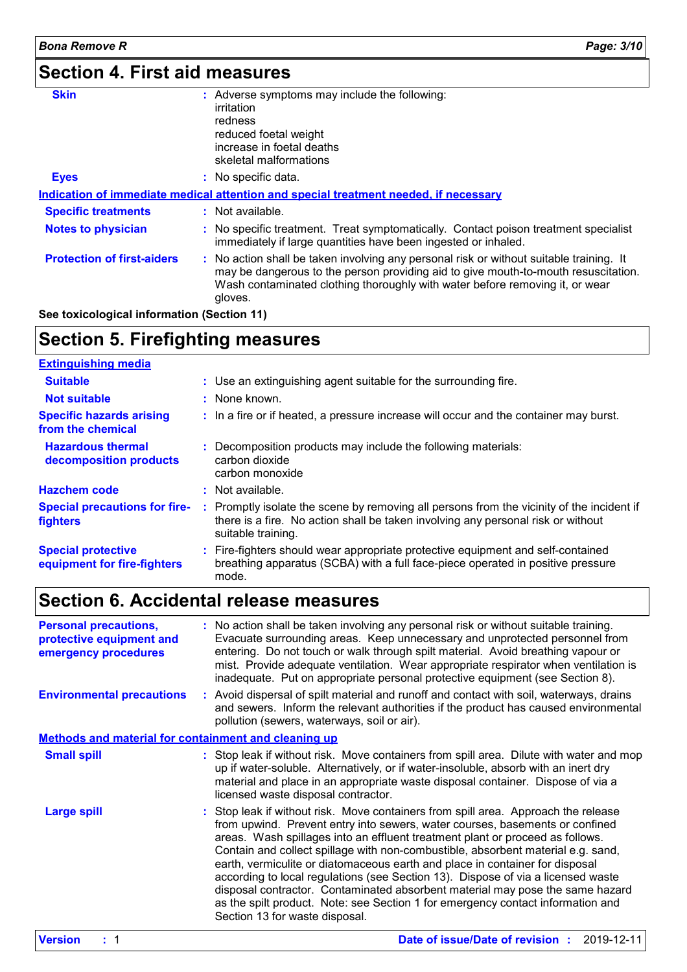## **Section 4. First aid measures**

| <b>Skin</b>                                | : Adverse symptoms may include the following:                                                                                                                                                                                                                            |
|--------------------------------------------|--------------------------------------------------------------------------------------------------------------------------------------------------------------------------------------------------------------------------------------------------------------------------|
|                                            | irritation                                                                                                                                                                                                                                                               |
|                                            | redness                                                                                                                                                                                                                                                                  |
|                                            | reduced foetal weight                                                                                                                                                                                                                                                    |
|                                            | increase in foetal deaths                                                                                                                                                                                                                                                |
|                                            | skeletal malformations                                                                                                                                                                                                                                                   |
| <b>Eyes</b>                                | : No specific data.                                                                                                                                                                                                                                                      |
|                                            | Indication of immediate medical attention and special treatment needed, if necessary                                                                                                                                                                                     |
| <b>Specific treatments</b>                 | $:$ Not available.                                                                                                                                                                                                                                                       |
| <b>Notes to physician</b>                  | : No specific treatment. Treat symptomatically. Contact poison treatment specialist<br>immediately if large quantities have been ingested or inhaled.                                                                                                                    |
| <b>Protection of first-aiders</b>          | : No action shall be taken involving any personal risk or without suitable training. It<br>may be dangerous to the person providing aid to give mouth-to-mouth resuscitation.<br>Wash contaminated clothing thoroughly with water before removing it, or wear<br>gloves. |
| See toxicological information (Section 11) |                                                                                                                                                                                                                                                                          |

### **Section 5. Firefighting measures**

| <b>Extinguishing media</b>                               |                                                                                                                                                                                                     |
|----------------------------------------------------------|-----------------------------------------------------------------------------------------------------------------------------------------------------------------------------------------------------|
| <b>Suitable</b>                                          | : Use an extinguishing agent suitable for the surrounding fire.                                                                                                                                     |
| <b>Not suitable</b>                                      | : None known.                                                                                                                                                                                       |
| <b>Specific hazards arising</b><br>from the chemical     | : In a fire or if heated, a pressure increase will occur and the container may burst.                                                                                                               |
| <b>Hazardous thermal</b><br>decomposition products       | : Decomposition products may include the following materials:<br>carbon dioxide<br>carbon monoxide                                                                                                  |
| <b>Hazchem code</b>                                      | $:$ Not available.                                                                                                                                                                                  |
| <b>Special precautions for fire-</b><br><b>fighters</b>  | : Promptly isolate the scene by removing all persons from the vicinity of the incident if<br>there is a fire. No action shall be taken involving any personal risk or without<br>suitable training. |
| <b>Special protective</b><br>equipment for fire-fighters | : Fire-fighters should wear appropriate protective equipment and self-contained<br>breathing apparatus (SCBA) with a full face-piece operated in positive pressure<br>mode.                         |

## **Section 6. Accidental release measures**

| <b>Personal precautions,</b><br>protective equipment and<br>emergency procedures | : No action shall be taken involving any personal risk or without suitable training.<br>Evacuate surrounding areas. Keep unnecessary and unprotected personnel from<br>entering. Do not touch or walk through spilt material. Avoid breathing vapour or<br>mist. Provide adequate ventilation. Wear appropriate respirator when ventilation is<br>inadequate. Put on appropriate personal protective equipment (see Section 8).                                                                                                                                                                                                                                                                                   |  |
|----------------------------------------------------------------------------------|-------------------------------------------------------------------------------------------------------------------------------------------------------------------------------------------------------------------------------------------------------------------------------------------------------------------------------------------------------------------------------------------------------------------------------------------------------------------------------------------------------------------------------------------------------------------------------------------------------------------------------------------------------------------------------------------------------------------|--|
| <b>Environmental precautions</b>                                                 | : Avoid dispersal of spilt material and runoff and contact with soil, waterways, drains<br>and sewers. Inform the relevant authorities if the product has caused environmental<br>pollution (sewers, waterways, soil or air).                                                                                                                                                                                                                                                                                                                                                                                                                                                                                     |  |
| <b>Methods and material for containment and cleaning up</b>                      |                                                                                                                                                                                                                                                                                                                                                                                                                                                                                                                                                                                                                                                                                                                   |  |
| <b>Small spill</b>                                                               | : Stop leak if without risk. Move containers from spill area. Dilute with water and mop<br>up if water-soluble. Alternatively, or if water-insoluble, absorb with an inert dry<br>material and place in an appropriate waste disposal container. Dispose of via a<br>licensed waste disposal contractor.                                                                                                                                                                                                                                                                                                                                                                                                          |  |
| <b>Large spill</b>                                                               | : Stop leak if without risk. Move containers from spill area. Approach the release<br>from upwind. Prevent entry into sewers, water courses, basements or confined<br>areas. Wash spillages into an effluent treatment plant or proceed as follows.<br>Contain and collect spillage with non-combustible, absorbent material e.g. sand,<br>earth, vermiculite or diatomaceous earth and place in container for disposal<br>according to local regulations (see Section 13). Dispose of via a licensed waste<br>disposal contractor. Contaminated absorbent material may pose the same hazard<br>as the spilt product. Note: see Section 1 for emergency contact information and<br>Section 13 for waste disposal. |  |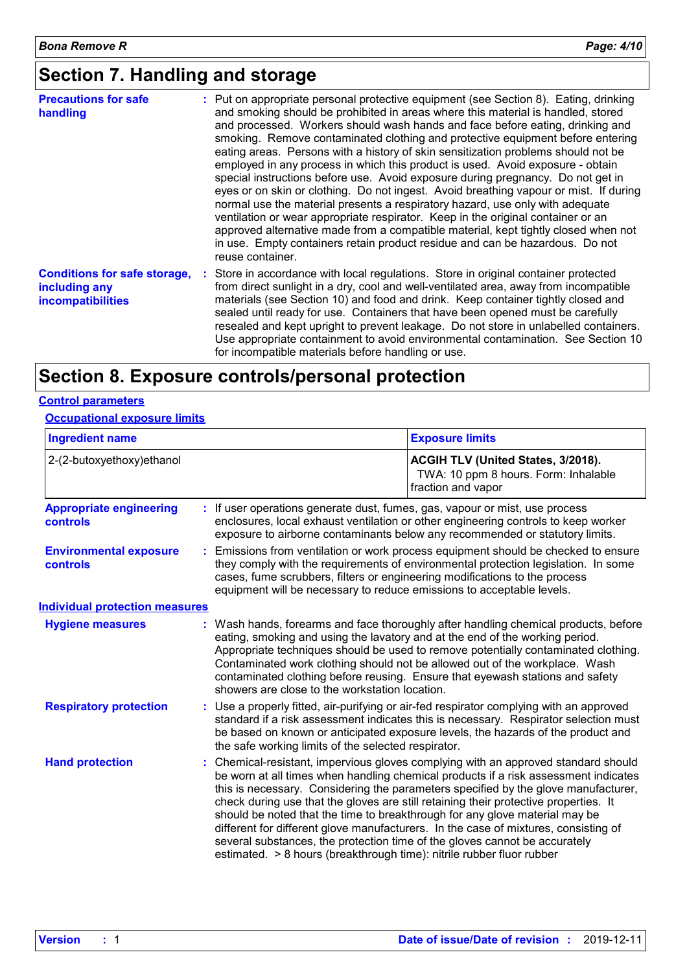### **Section 7. Handling and storage**

| <b>Precautions for safe</b><br>handling                                          | : Put on appropriate personal protective equipment (see Section 8). Eating, drinking<br>and smoking should be prohibited in areas where this material is handled, stored<br>and processed. Workers should wash hands and face before eating, drinking and<br>smoking. Remove contaminated clothing and protective equipment before entering<br>eating areas. Persons with a history of skin sensitization problems should not be<br>employed in any process in which this product is used. Avoid exposure - obtain<br>special instructions before use. Avoid exposure during pregnancy. Do not get in<br>eyes or on skin or clothing. Do not ingest. Avoid breathing vapour or mist. If during<br>normal use the material presents a respiratory hazard, use only with adequate<br>ventilation or wear appropriate respirator. Keep in the original container or an<br>approved alternative made from a compatible material, kept tightly closed when not<br>in use. Empty containers retain product residue and can be hazardous. Do not<br>reuse container. |
|----------------------------------------------------------------------------------|---------------------------------------------------------------------------------------------------------------------------------------------------------------------------------------------------------------------------------------------------------------------------------------------------------------------------------------------------------------------------------------------------------------------------------------------------------------------------------------------------------------------------------------------------------------------------------------------------------------------------------------------------------------------------------------------------------------------------------------------------------------------------------------------------------------------------------------------------------------------------------------------------------------------------------------------------------------------------------------------------------------------------------------------------------------|
| <b>Conditions for safe storage,</b><br>including any<br><i>incompatibilities</i> | : Store in accordance with local regulations. Store in original container protected<br>from direct sunlight in a dry, cool and well-ventilated area, away from incompatible<br>materials (see Section 10) and food and drink. Keep container tightly closed and<br>sealed until ready for use. Containers that have been opened must be carefully<br>resealed and kept upright to prevent leakage. Do not store in unlabelled containers.<br>Use appropriate containment to avoid environmental contamination. See Section 10<br>for incompatible materials before handling or use.                                                                                                                                                                                                                                                                                                                                                                                                                                                                           |

### **Section 8. Exposure controls/personal protection**

#### **Control parameters**

#### **Occupational exposure limits**

| <b>Ingredient name</b>                            |                                                     | <b>Exposure limits</b>                                                                                                                                                                                                                                                                                                                                                                                                                                                                                                                                                                                                                                                               |
|---------------------------------------------------|-----------------------------------------------------|--------------------------------------------------------------------------------------------------------------------------------------------------------------------------------------------------------------------------------------------------------------------------------------------------------------------------------------------------------------------------------------------------------------------------------------------------------------------------------------------------------------------------------------------------------------------------------------------------------------------------------------------------------------------------------------|
| 2-(2-butoxyethoxy)ethanol                         |                                                     | ACGIH TLV (United States, 3/2018).<br>TWA: 10 ppm 8 hours. Form: Inhalable<br>fraction and vapor                                                                                                                                                                                                                                                                                                                                                                                                                                                                                                                                                                                     |
| <b>Appropriate engineering</b><br><b>controls</b> |                                                     | : If user operations generate dust, fumes, gas, vapour or mist, use process<br>enclosures, local exhaust ventilation or other engineering controls to keep worker<br>exposure to airborne contaminants below any recommended or statutory limits.                                                                                                                                                                                                                                                                                                                                                                                                                                    |
| <b>Environmental exposure</b><br>controls         |                                                     | Emissions from ventilation or work process equipment should be checked to ensure<br>they comply with the requirements of environmental protection legislation. In some<br>cases, fume scrubbers, filters or engineering modifications to the process<br>equipment will be necessary to reduce emissions to acceptable levels.                                                                                                                                                                                                                                                                                                                                                        |
| <b>Individual protection measures</b>             |                                                     |                                                                                                                                                                                                                                                                                                                                                                                                                                                                                                                                                                                                                                                                                      |
| <b>Hygiene measures</b>                           | showers are close to the workstation location.      | : Wash hands, forearms and face thoroughly after handling chemical products, before<br>eating, smoking and using the lavatory and at the end of the working period.<br>Appropriate techniques should be used to remove potentially contaminated clothing.<br>Contaminated work clothing should not be allowed out of the workplace. Wash<br>contaminated clothing before reusing. Ensure that eyewash stations and safety                                                                                                                                                                                                                                                            |
| <b>Respiratory protection</b>                     | the safe working limits of the selected respirator. | : Use a properly fitted, air-purifying or air-fed respirator complying with an approved<br>standard if a risk assessment indicates this is necessary. Respirator selection must<br>be based on known or anticipated exposure levels, the hazards of the product and                                                                                                                                                                                                                                                                                                                                                                                                                  |
| <b>Hand protection</b>                            |                                                     | : Chemical-resistant, impervious gloves complying with an approved standard should<br>be worn at all times when handling chemical products if a risk assessment indicates<br>this is necessary. Considering the parameters specified by the glove manufacturer,<br>check during use that the gloves are still retaining their protective properties. It<br>should be noted that the time to breakthrough for any glove material may be<br>different for different glove manufacturers. In the case of mixtures, consisting of<br>several substances, the protection time of the gloves cannot be accurately<br>estimated. > 8 hours (breakthrough time): nitrile rubber fluor rubber |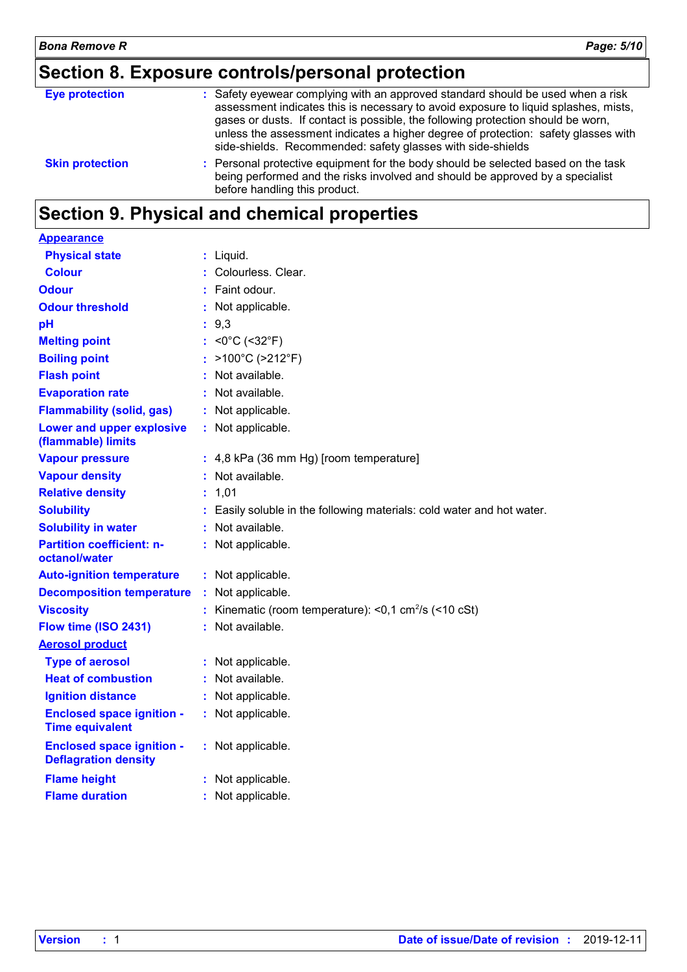## **Section 8. Exposure controls/personal protection**

| <b>Eye protection</b>  | : Safety eyewear complying with an approved standard should be used when a risk<br>assessment indicates this is necessary to avoid exposure to liquid splashes, mists,<br>gases or dusts. If contact is possible, the following protection should be worn,<br>unless the assessment indicates a higher degree of protection: safety glasses with<br>side-shields. Recommended: safety glasses with side-shields |
|------------------------|-----------------------------------------------------------------------------------------------------------------------------------------------------------------------------------------------------------------------------------------------------------------------------------------------------------------------------------------------------------------------------------------------------------------|
| <b>Skin protection</b> | : Personal protective equipment for the body should be selected based on the task<br>being performed and the risks involved and should be approved by a specialist<br>before handling this product.                                                                                                                                                                                                             |
|                        |                                                                                                                                                                                                                                                                                                                                                                                                                 |

## **Section 9. Physical and chemical properties**

| <b>Appearance</b>                                               |                                                                        |
|-----------------------------------------------------------------|------------------------------------------------------------------------|
| <b>Physical state</b>                                           | : Liquid.                                                              |
| <b>Colour</b>                                                   | Colourless. Clear.                                                     |
| <b>Odour</b>                                                    | Faint odour.                                                           |
| <b>Odour threshold</b>                                          | : Not applicable.                                                      |
| pH                                                              | 9,3                                                                    |
| <b>Melting point</b>                                            | : < $0^{\circ}$ C (< $32^{\circ}$ F)                                   |
| <b>Boiling point</b>                                            | >100°C (>212°F)                                                        |
| <b>Flash point</b>                                              | Not available.                                                         |
| <b>Evaporation rate</b>                                         | Not available.                                                         |
| <b>Flammability (solid, gas)</b>                                | Not applicable.                                                        |
| Lower and upper explosive<br>(flammable) limits                 | : Not applicable.                                                      |
| <b>Vapour pressure</b>                                          | 4,8 kPa (36 mm Hg) [room temperature]                                  |
| <b>Vapour density</b>                                           | Not available.                                                         |
| <b>Relative density</b>                                         | 1,01                                                                   |
| <b>Solubility</b>                                               | Easily soluble in the following materials: cold water and hot water.   |
| <b>Solubility in water</b>                                      | Not available.                                                         |
| <b>Partition coefficient: n-</b><br>octanol/water               | Not applicable.                                                        |
| <b>Auto-ignition temperature</b>                                | : Not applicable.                                                      |
| <b>Decomposition temperature</b>                                | Not applicable.                                                        |
| <b>Viscosity</b>                                                | Kinematic (room temperature): $<$ 0,1 cm <sup>2</sup> /s ( $<$ 10 cSt) |
| Flow time (ISO 2431)                                            | $:$ Not available.                                                     |
| <b>Aerosol product</b>                                          |                                                                        |
| <b>Type of aerosol</b>                                          | Not applicable.                                                        |
| <b>Heat of combustion</b>                                       | Not available.                                                         |
| <b>Ignition distance</b>                                        | : Not applicable.                                                      |
| <b>Enclosed space ignition -</b><br><b>Time equivalent</b>      | : Not applicable.                                                      |
| <b>Enclosed space ignition -</b><br><b>Deflagration density</b> | : Not applicable.                                                      |
| <b>Flame height</b>                                             | Not applicable.                                                        |
| <b>Flame duration</b>                                           | Not applicable.                                                        |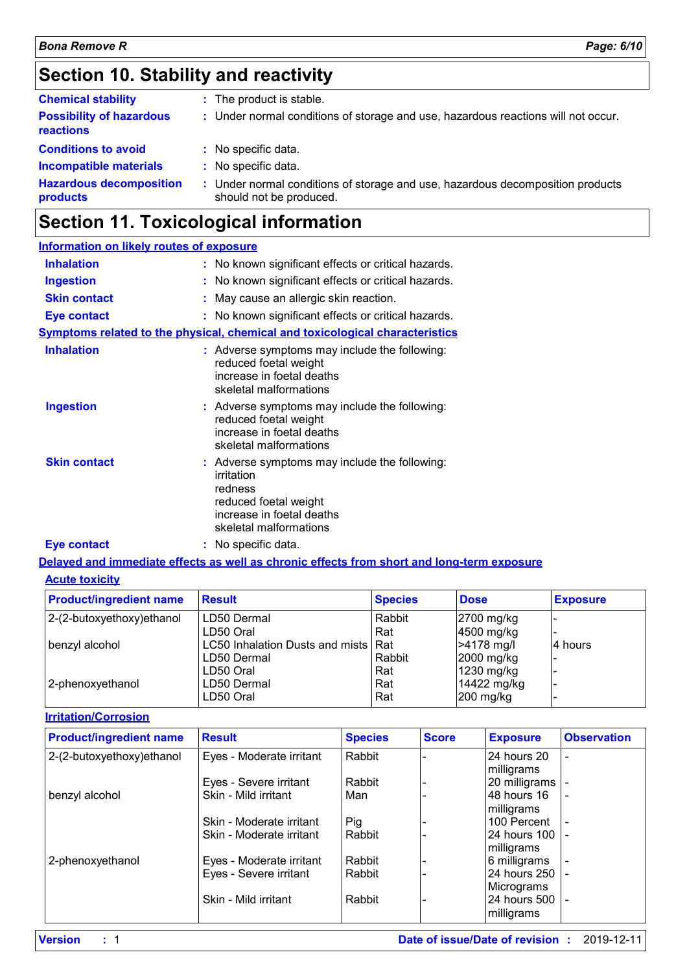### **Section 10. Stability and reactivity**

| <b>Chemical stability</b>                           | : The product is stable.                                                                                  |
|-----------------------------------------------------|-----------------------------------------------------------------------------------------------------------|
| <b>Possibility of hazardous</b><br><b>reactions</b> | : Under normal conditions of storage and use, hazardous reactions will not occur.                         |
| <b>Conditions to avoid</b>                          | : No specific data.                                                                                       |
| <b>Incompatible materials</b>                       | : No specific data.                                                                                       |
| <b>Hazardous decomposition</b><br>products          | : Under normal conditions of storage and use, hazardous decomposition products<br>should not be produced. |

### **Section 11. Toxicological information**

#### **Information on likely routes of exposure Inhalation :** No known significant effects or critical hazards. **Ingestion :** No known significant effects or critical hazards. **Skin contact :** May cause an allergic skin reaction. **Eye contact :** No known significant effects or critical hazards. **Symptoms related to the physical, chemical and toxicological characteristics Skin contact Ingestion Inhalation Adverse symptoms may include the following:**  $\blacksquare$ reduced foetal weight increase in foetal deaths skeletal malformations Adverse symptoms may include the following: **:** reduced foetal weight increase in foetal deaths skeletal malformations Adverse symptoms may include the following: **:** irritation redness reduced foetal weight

### **Eye contact :** No specific data.

#### **Delayed and immediate effects as well as chronic effects from short and long-term exposure**

increase in foetal deaths skeletal malformations

#### **Acute toxicity**

| <b>Product/ingredient name</b> | <b>Result</b>                         | <b>Species</b> | <b>Dose</b> | <b>Exposure</b> |
|--------------------------------|---------------------------------------|----------------|-------------|-----------------|
| 2-(2-butoxyethoxy) ethanol     | LD50 Dermal                           | Rabbit         | 2700 mg/kg  |                 |
|                                | LD50 Oral                             | Rat            | 4500 mg/kg  |                 |
| benzyl alcohol                 | LC50 Inhalation Dusts and mists   Rat |                | >4178 mg/l  | 4 hours         |
|                                | LD50 Dermal                           | Rabbit         | 2000 mg/kg  |                 |
|                                | LD50 Oral                             | Rat            | 1230 mg/kg  |                 |
| 2-phenoxyethanol               | LD50 Dermal                           | Rat            | 14422 mg/kg |                 |
|                                | LD50 Oral                             | Rat            | $200$ mg/kg |                 |

#### **Irritation/Corrosion**

| <b>Product/ingredient name</b> | <b>Result</b>            | <b>Species</b> | <b>Score</b> | <b>Exposure</b> | <b>Observation</b> |
|--------------------------------|--------------------------|----------------|--------------|-----------------|--------------------|
| 2-(2-butoxyethoxy)ethanol      | Eyes - Moderate irritant | Rabbit         |              | 24 hours 20     |                    |
|                                |                          |                |              | milligrams      |                    |
|                                | Eyes - Severe irritant   | Rabbit         |              | 20 milligrams   |                    |
| benzyl alcohol                 | Skin - Mild irritant     | Man            |              | 48 hours 16     |                    |
|                                |                          |                |              | milligrams      |                    |
|                                | Skin - Moderate irritant | Pig            |              | 100 Percent     |                    |
|                                | Skin - Moderate irritant | Rabbit         |              | 24 hours 100    |                    |
|                                |                          |                |              | milligrams      |                    |
| 2-phenoxyethanol               | Eyes - Moderate irritant | Rabbit         |              | 6 milligrams    |                    |
|                                | Eyes - Severe irritant   | Rabbit         |              | 24 hours 250    |                    |
|                                |                          |                |              | Micrograms      |                    |
|                                | Skin - Mild irritant     | Rabbit         |              | 24 hours 500    |                    |
|                                |                          |                |              | milligrams      |                    |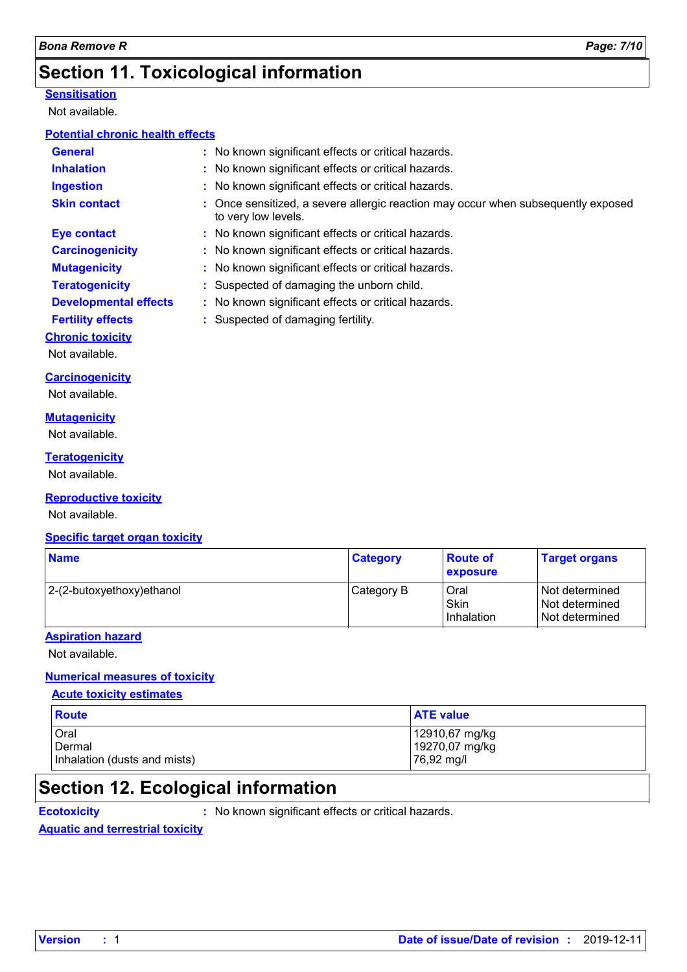### **Section 11. Toxicological information**

#### **Sensitisation**

Not available.

#### **Potential chronic health effects**

| <b>General</b>               |                                    | : No known significant effects or critical hazards.                               |
|------------------------------|------------------------------------|-----------------------------------------------------------------------------------|
| <b>Inhalation</b>            |                                    | : No known significant effects or critical hazards.                               |
| <b>Ingestion</b>             |                                    | : No known significant effects or critical hazards.                               |
| <b>Skin contact</b>          | to very low levels.                | : Once sensitized, a severe allergic reaction may occur when subsequently exposed |
| Eye contact                  |                                    | : No known significant effects or critical hazards.                               |
| <b>Carcinogenicity</b>       |                                    | : No known significant effects or critical hazards.                               |
| <b>Mutagenicity</b>          |                                    | : No known significant effects or critical hazards.                               |
| <b>Teratogenicity</b>        |                                    | : Suspected of damaging the unborn child.                                         |
| <b>Developmental effects</b> |                                    | : No known significant effects or critical hazards.                               |
| <b>Fertility effects</b>     | : Suspected of damaging fertility. |                                                                                   |
| <b>Chronic toxicity</b>      |                                    |                                                                                   |
| Not available.               |                                    |                                                                                   |
| Cavainananiaitu              |                                    |                                                                                   |

**Carcinogenicity**

Not available.

#### **Mutagenicity**

Not available.

#### **Teratogenicity**

Not available.

#### **Reproductive toxicity**

Not available.

#### **Specific target organ toxicity**

| <b>Name</b>               | <b>Category</b> | <b>Route of</b><br>exposure                | <b>Target organs</b>                                     |
|---------------------------|-----------------|--------------------------------------------|----------------------------------------------------------|
| 2-(2-butoxyethoxy)ethanol | Category B      | <b>Oral</b><br><b>Skin</b><br>l Inhalation | l Not determined<br>l Not determined<br>l Not determined |

#### **Aspiration hazard**

Not available.

### **Numerical measures of toxicity**

#### **Acute toxicity estimates**

| Route                        | <b>ATE value</b> |
|------------------------------|------------------|
| Oral                         | 12910,67 mg/kg   |
| Dermal                       | 19270,07 mg/kg   |
| Inhalation (dusts and mists) | 76,92 mg/l       |

### **Section 12. Ecological information**

**Ecotoxicity :** No known significant effects or critical hazards.

#### **Aquatic and terrestrial toxicity**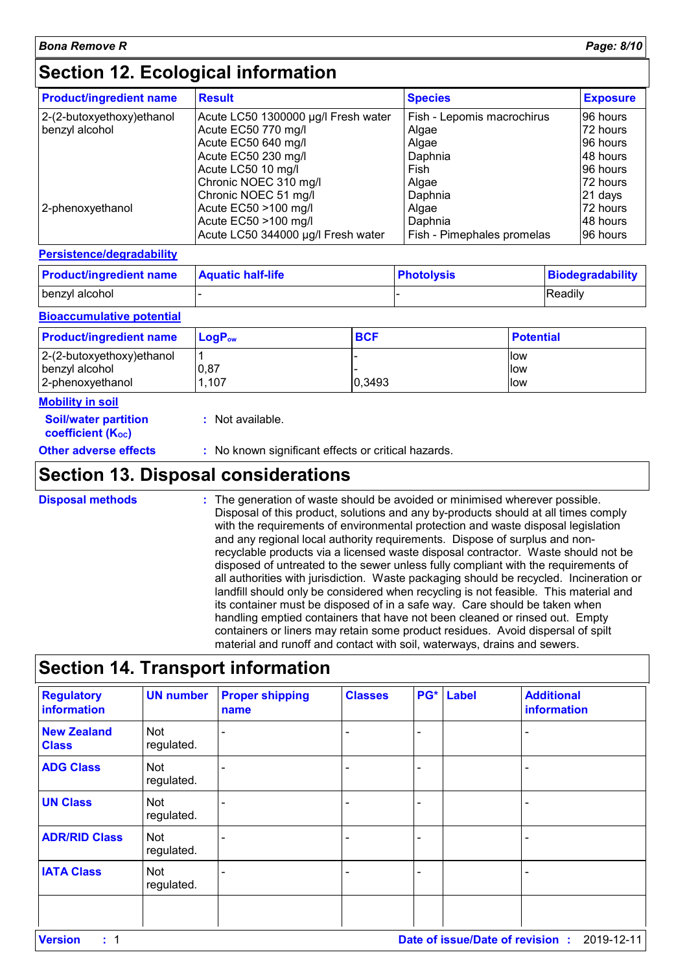### **Section 12. Ecological information**

| <b>Product/ingredient name</b> | <b>Result</b>                       | <b>Species</b>             | <b>Exposure</b> |
|--------------------------------|-------------------------------------|----------------------------|-----------------|
| $ 2-(2-butoxyethoxy)ethanol$   | Acute LC50 1300000 µg/l Fresh water | Fish - Lepomis macrochirus | I96 hours       |
| benzyl alcohol                 | Acute EC50 770 mg/l                 | Algae                      | l72 hours       |
|                                | Acute EC50 640 mg/l                 | Algae                      | I96 hours       |
|                                | Acute EC50 230 mg/l                 | Daphnia                    | 48 hours        |
|                                | Acute LC50 10 mg/l                  | Fish                       | I96 hours       |
|                                | Chronic NOEC 310 mg/l               | Algae                      | I72 hours       |
|                                | Chronic NOEC 51 mg/l                | Daphnia                    | 21 days         |
| 2-phenoxyethanol               | Acute EC50 >100 mg/l                | Algae                      | 72 hours        |
|                                | Acute EC50 >100 mg/l                | Daphnia                    | l48 hours       |
|                                | Acute LC50 344000 µg/l Fresh water  | Fish - Pimephales promelas | I96 hours       |

#### **Persistence/degradability**

| <b>Product/ingredient name</b> | <b>Aquatic half-life</b> | <b>Photolysis</b> | Biodegradability |
|--------------------------------|--------------------------|-------------------|------------------|
| benzyl alcohol                 |                          |                   | Readily          |

#### **Bioaccumulative potential**

| <b>Product/ingredient name</b> | $\mathsf{LogP}_\mathsf{ow}$ | <b>BCF</b> | <b>Potential</b> |
|--------------------------------|-----------------------------|------------|------------------|
| $2-(2-butoxyethoxy)ethanol$    |                             |            | <b>llow</b>      |
| benzyl alcohol                 | 0,87                        |            | llow             |
| 2-phenoxyethanol               | 1,107                       | 0,3493     | llow             |

#### **Mobility in soil**

| <b>Soil/water partition</b><br>coefficient (K <sub>oc</sub> ) | : Not available.                                    |
|---------------------------------------------------------------|-----------------------------------------------------|
| Other adverse effects                                         | : No known significant effects or critical hazards. |

### **Section 13. Disposal considerations**

The generation of waste should be avoided or minimised wherever possible. Disposal of this product, solutions and any by-products should at all times comply with the requirements of environmental protection and waste disposal legislation and any regional local authority requirements. Dispose of surplus and nonrecyclable products via a licensed waste disposal contractor. Waste should not be disposed of untreated to the sewer unless fully compliant with the requirements of all authorities with jurisdiction. Waste packaging should be recycled. Incineration or landfill should only be considered when recycling is not feasible. This material and its container must be disposed of in a safe way. Care should be taken when handling emptied containers that have not been cleaned or rinsed out. Empty containers or liners may retain some product residues. Avoid dispersal of spilt material and runoff and contact with soil, waterways, drains and sewers. **Disposal methods :**

### **Section 14. Transport information**

| <b>Regulatory</b><br>information   | <b>UN number</b>         | <b>Proper shipping</b><br>name | <b>Classes</b> | PG* Label | <b>Additional</b><br>information |
|------------------------------------|--------------------------|--------------------------------|----------------|-----------|----------------------------------|
| <b>New Zealand</b><br><b>Class</b> | Not<br>regulated.        |                                |                |           |                                  |
| <b>ADG Class</b>                   | <b>Not</b><br>regulated. |                                |                |           |                                  |
| <b>UN Class</b>                    | Not<br>regulated.        |                                |                |           |                                  |
| <b>ADR/RID Class</b>               | Not<br>regulated.        |                                |                |           |                                  |
| <b>IATA Class</b>                  | <b>Not</b><br>regulated. |                                |                |           |                                  |
|                                    |                          |                                |                |           |                                  |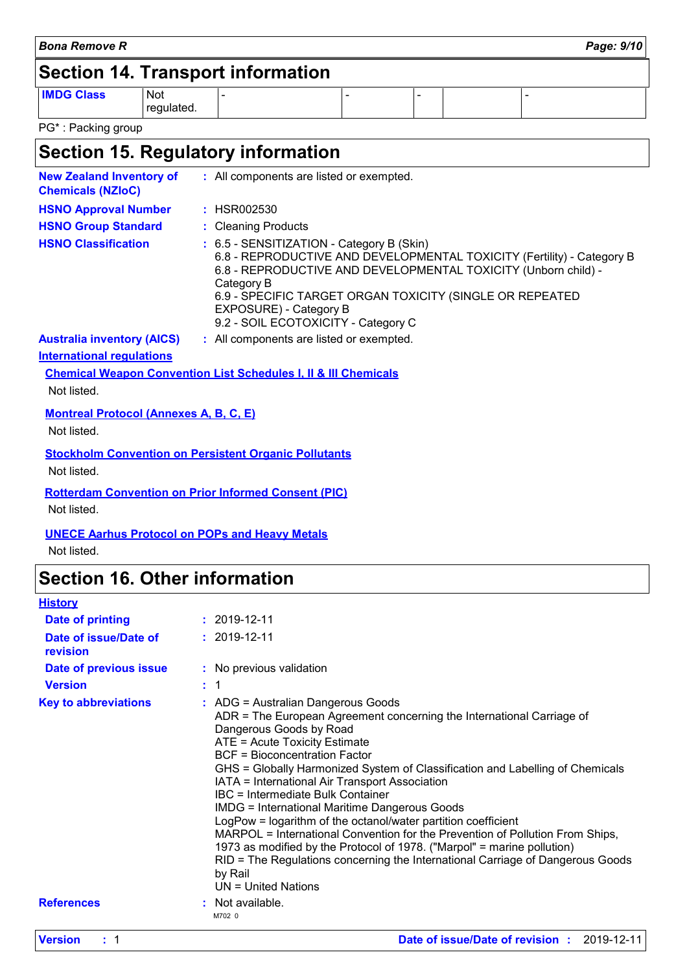| Bona Remove R                            | Page: 9/10 |
|------------------------------------------|------------|
| <b>Section 14. Transport information</b> |            |

**IMDG Class** Not regulated.

regulated. - - - -

PG\* : Packing group

## **Section 15. Regulatory information**

| <b>New Zealand Inventory of</b><br><b>Chemicals (NZIoC)</b>  | : All components are listed or exempted.                                                                                                                                                                                                                                                                                         |
|--------------------------------------------------------------|----------------------------------------------------------------------------------------------------------------------------------------------------------------------------------------------------------------------------------------------------------------------------------------------------------------------------------|
| <b>HSNO Approval Number</b>                                  | : HSR002530                                                                                                                                                                                                                                                                                                                      |
| <b>HSNO Group Standard</b>                                   | : Cleaning Products                                                                                                                                                                                                                                                                                                              |
| <b>HSNO Classification</b>                                   | : 6.5 - SENSITIZATION - Category B (Skin)<br>6.8 - REPRODUCTIVE AND DEVELOPMENTAL TOXICITY (Fertility) - Category B<br>6.8 - REPRODUCTIVE AND DEVELOPMENTAL TOXICITY (Unborn child) -<br>Category B<br>6.9 - SPECIFIC TARGET ORGAN TOXICITY (SINGLE OR REPEATED<br>EXPOSURE) - Category B<br>9.2 - SOIL ECOTOXICITY - Category C |
| <b>Australia inventory (AICS)</b>                            | : All components are listed or exempted.                                                                                                                                                                                                                                                                                         |
| <b>International regulations</b>                             |                                                                                                                                                                                                                                                                                                                                  |
|                                                              | <b>Chemical Weapon Convention List Schedules I, II &amp; III Chemicals</b>                                                                                                                                                                                                                                                       |
| Not listed.                                                  |                                                                                                                                                                                                                                                                                                                                  |
| <b>Montreal Protocol (Annexes A, B, C, E)</b><br>Not listed. |                                                                                                                                                                                                                                                                                                                                  |
| Not listed.                                                  | <b>Stockholm Convention on Persistent Organic Pollutants</b>                                                                                                                                                                                                                                                                     |
| Not listed.                                                  | <b>Rotterdam Convention on Prior Informed Consent (PIC)</b>                                                                                                                                                                                                                                                                      |

#### **UNECE Aarhus Protocol on POPs and Heavy Metals**

Not listed.

### **Section 16. Other information**

| <b>History</b>                    |                                                                                                                                                                                                                                                                                                                                                                                                                                                                                                                                                                                                                                                                                                                                                                                                           |
|-----------------------------------|-----------------------------------------------------------------------------------------------------------------------------------------------------------------------------------------------------------------------------------------------------------------------------------------------------------------------------------------------------------------------------------------------------------------------------------------------------------------------------------------------------------------------------------------------------------------------------------------------------------------------------------------------------------------------------------------------------------------------------------------------------------------------------------------------------------|
| <b>Date of printing</b>           | $: 2019 - 12 - 11$                                                                                                                                                                                                                                                                                                                                                                                                                                                                                                                                                                                                                                                                                                                                                                                        |
| Date of issue/Date of<br>revision | $: 2019 - 12 - 11$                                                                                                                                                                                                                                                                                                                                                                                                                                                                                                                                                                                                                                                                                                                                                                                        |
| Date of previous issue            | : No previous validation                                                                                                                                                                                                                                                                                                                                                                                                                                                                                                                                                                                                                                                                                                                                                                                  |
| <b>Version</b>                    | : 1                                                                                                                                                                                                                                                                                                                                                                                                                                                                                                                                                                                                                                                                                                                                                                                                       |
| <b>Key to abbreviations</b>       | : ADG = Australian Dangerous Goods<br>ADR = The European Agreement concerning the International Carriage of<br>Dangerous Goods by Road<br>ATE = Acute Toxicity Estimate<br><b>BCF</b> = Bioconcentration Factor<br>GHS = Globally Harmonized System of Classification and Labelling of Chemicals<br>IATA = International Air Transport Association<br><b>IBC</b> = Intermediate Bulk Container<br><b>IMDG = International Maritime Dangerous Goods</b><br>LogPow = logarithm of the octanol/water partition coefficient<br>MARPOL = International Convention for the Prevention of Pollution From Ships,<br>1973 as modified by the Protocol of 1978. ("Marpol" = marine pollution)<br>RID = The Regulations concerning the International Carriage of Dangerous Goods<br>by Rail<br>$UN = United Nations$ |
| <b>References</b>                 | : Not available.<br>M702 0                                                                                                                                                                                                                                                                                                                                                                                                                                                                                                                                                                                                                                                                                                                                                                                |